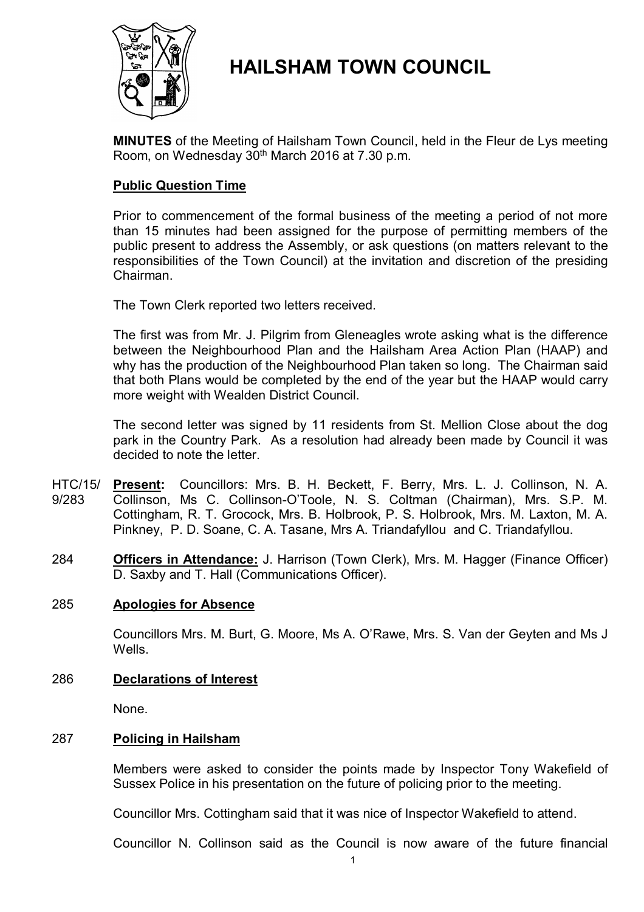

# **HAILSHAM TOWN COUNCIL**

**MINUTES** of the Meeting of Hailsham Town Council, held in the Fleur de Lys meeting Room, on Wednesday 30<sup>th</sup> March 2016 at 7.30 p.m.

# **Public Question Time**

Prior to commencement of the formal business of the meeting a period of not more than 15 minutes had been assigned for the purpose of permitting members of the public present to address the Assembly, or ask questions (on matters relevant to the responsibilities of the Town Council) at the invitation and discretion of the presiding Chairman.

The Town Clerk reported two letters received.

The first was from Mr. J. Pilgrim from Gleneagles wrote asking what is the difference between the Neighbourhood Plan and the Hailsham Area Action Plan (HAAP) and why has the production of the Neighbourhood Plan taken so long. The Chairman said that both Plans would be completed by the end of the year but the HAAP would carry more weight with Wealden District Council.

The second letter was signed by 11 residents from St. Mellion Close about the dog park in the Country Park. As a resolution had already been made by Council it was decided to note the letter.

- HTC/15/ 9/283 **Present:** Councillors: Mrs. B. H. Beckett, F. Berry, Mrs. L. J. Collinson, N. A. Collinson, Ms C. Collinson-O'Toole, N. S. Coltman (Chairman), Mrs. S.P. M. Cottingham, R. T. Grocock, Mrs. B. Holbrook, P. S. Holbrook, Mrs. M. Laxton, M. A. Pinkney, P. D. Soane, C. A. Tasane, Mrs A. Triandafyllou and C. Triandafyllou.
- 284 **Officers in Attendance:** J. Harrison (Town Clerk), Mrs. M. Hagger (Finance Officer) D. Saxby and T. Hall (Communications Officer).

### 285 **Apologies for Absence**

Councillors Mrs. M. Burt, G. Moore, Ms A. O'Rawe, Mrs. S. Van der Geyten and Ms J **Wells** 

### 286 **Declarations of Interest**

None.

### 287 **Policing in Hailsham**

Members were asked to consider the points made by Inspector Tony Wakefield of Sussex Police in his presentation on the future of policing prior to the meeting.

Councillor Mrs. Cottingham said that it was nice of Inspector Wakefield to attend.

Councillor N. Collinson said as the Council is now aware of the future financial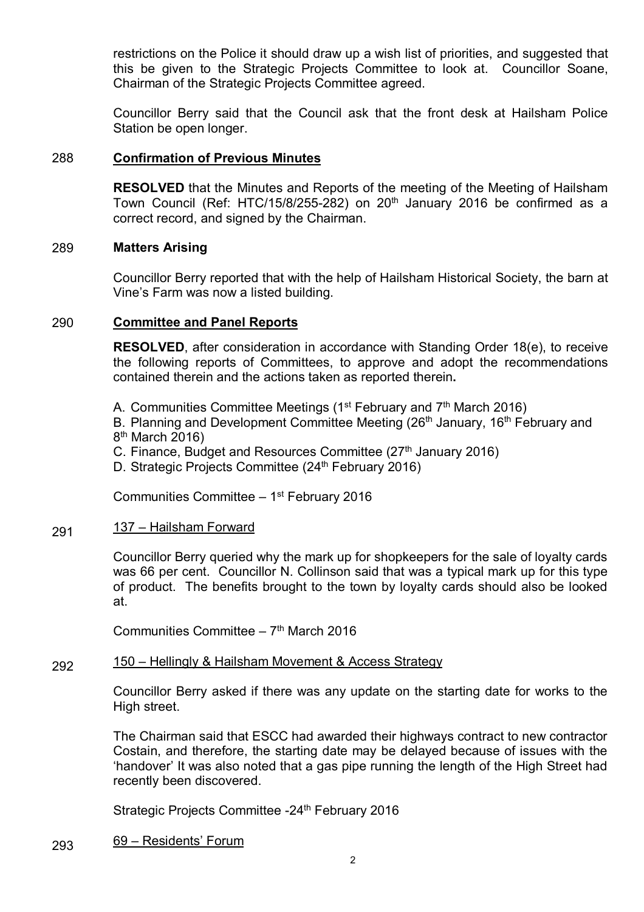restrictions on the Police it should draw up a wish list of priorities, and suggested that this be given to the Strategic Projects Committee to look at. Councillor Soane, Chairman of the Strategic Projects Committee agreed.

Councillor Berry said that the Council ask that the front desk at Hailsham Police Station be open longer.

### 288 **Confirmation of Previous Minutes**

**RESOLVED** that the Minutes and Reports of the meeting of the Meeting of Hailsham Town Council (Ref: HTC/15/8/255-282) on  $20<sup>th</sup>$  January 2016 be confirmed as a correct record, and signed by the Chairman.

#### 289 **Matters Arising**

Councillor Berry reported that with the help of Hailsham Historical Society, the barn at Vine's Farm was now a listed building.

#### 290 **Committee and Panel Reports**

**RESOLVED**, after consideration in accordance with Standing Order 18(e), to receive the following reports of Committees, to approve and adopt the recommendations contained therein and the actions taken as reported therein**.**

A. Communities Committee Meetings ( $1<sup>st</sup>$  February and  $7<sup>th</sup>$  March 2016)

B. Planning and Development Committee Meeting (26<sup>th</sup> January, 16<sup>th</sup> February and 8<sup>th</sup> March 2016)

- C. Finance, Budget and Resources Committee  $(27<sup>th</sup>$  January 2016)
- D. Strategic Projects Committee (24<sup>th</sup> February 2016)

Communities Committee - 1<sup>st</sup> February 2016

#### 291 137 – Hailsham Forward

Councillor Berry queried why the mark up for shopkeepers for the sale of loyalty cards was 66 per cent. Councillor N. Collinson said that was a typical mark up for this type of product. The benefits brought to the town by loyalty cards should also be looked at.

Communities Committee - 7<sup>th</sup> March 2016

#### 292 150 – Hellingly & Hailsham Movement & Access Strategy

Councillor Berry asked if there was any update on the starting date for works to the High street.

The Chairman said that ESCC had awarded their highways contract to new contractor Costain, and therefore, the starting date may be delayed because of issues with the 'handover' It was also noted that a gas pipe running the length of the High Street had recently been discovered.

Strategic Projects Committee -24<sup>th</sup> February 2016

#### 293 69 – Residents' Forum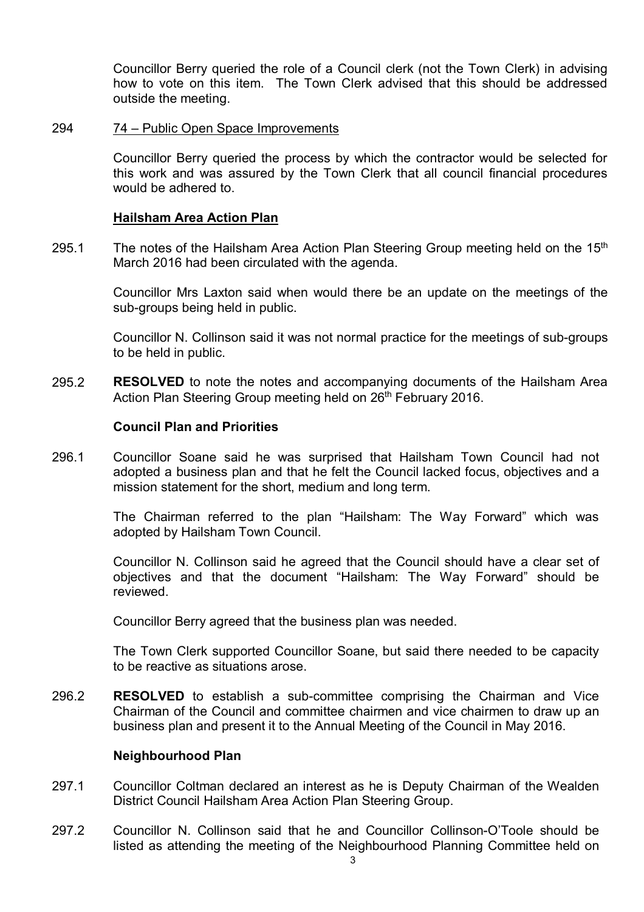Councillor Berry queried the role of a Council clerk (not the Town Clerk) in advising how to vote on this item. The Town Clerk advised that this should be addressed outside the meeting.

#### 294 74 – Public Open Space Improvements

Councillor Berry queried the process by which the contractor would be selected for this work and was assured by the Town Clerk that all council financial procedures would be adhered to.

#### **Hailsham Area Action Plan**

295.1 The notes of the Hailsham Area Action Plan Steering Group meeting held on the 15<sup>th</sup> March 2016 had been circulated with the agenda.

> Councillor Mrs Laxton said when would there be an update on the meetings of the sub-groups being held in public.

> Councillor N. Collinson said it was not normal practice for the meetings of sub-groups to be held in public.

295.2 **RESOLVED** to note the notes and accompanying documents of the Hailsham Area Action Plan Steering Group meeting held on 26<sup>th</sup> February 2016.

#### **Council Plan and Priorities**

296.1 Councillor Soane said he was surprised that Hailsham Town Council had not adopted a business plan and that he felt the Council lacked focus, objectives and a mission statement for the short, medium and long term.

> The Chairman referred to the plan "Hailsham: The Way Forward" which was adopted by Hailsham Town Council.

> Councillor N. Collinson said he agreed that the Council should have a clear set of objectives and that the document "Hailsham: The Way Forward" should be reviewed.

Councillor Berry agreed that the business plan was needed.

The Town Clerk supported Councillor Soane, but said there needed to be capacity to be reactive as situations arose.

296.2 **RESOLVED** to establish a sub-committee comprising the Chairman and Vice Chairman of the Council and committee chairmen and vice chairmen to draw up an business plan and present it to the Annual Meeting of the Council in May 2016.

#### **Neighbourhood Plan**

- 297.1 Councillor Coltman declared an interest as he is Deputy Chairman of the Wealden District Council Hailsham Area Action Plan Steering Group.
- 297.2 Councillor N. Collinson said that he and Councillor Collinson-O'Toole should be listed as attending the meeting of the Neighbourhood Planning Committee held on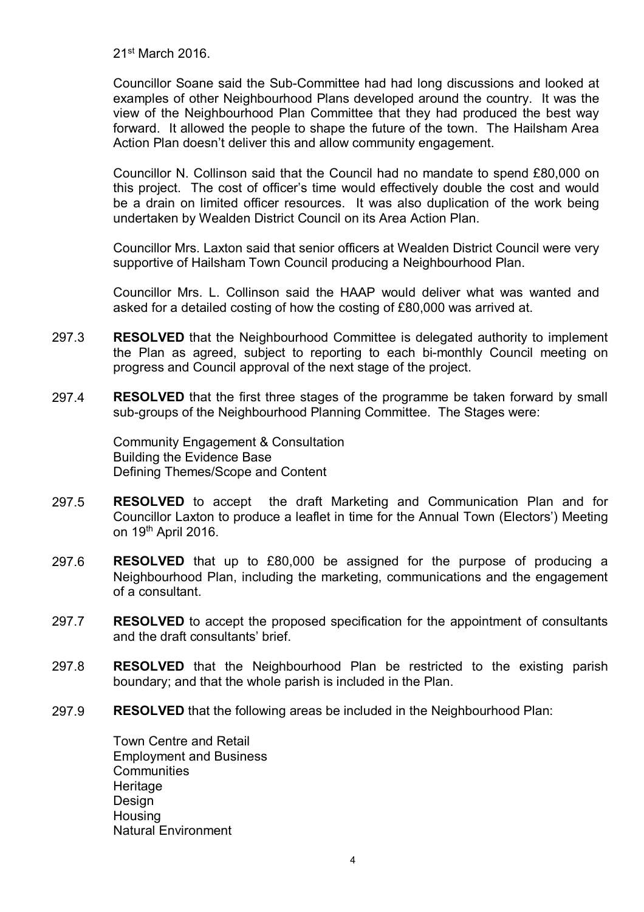21st March 2016.

Councillor Soane said the Sub-Committee had had long discussions and looked at examples of other Neighbourhood Plans developed around the country. It was the view of the Neighbourhood Plan Committee that they had produced the best way forward. It allowed the people to shape the future of the town. The Hailsham Area Action Plan doesn't deliver this and allow community engagement.

Councillor N. Collinson said that the Council had no mandate to spend £80,000 on this project. The cost of officer's time would effectively double the cost and would be a drain on limited officer resources. It was also duplication of the work being undertaken by Wealden District Council on its Area Action Plan.

Councillor Mrs. Laxton said that senior officers at Wealden District Council were very supportive of Hailsham Town Council producing a Neighbourhood Plan.

Councillor Mrs. L. Collinson said the HAAP would deliver what was wanted and asked for a detailed costing of how the costing of £80,000 was arrived at.

- 297.3 **RESOLVED** that the Neighbourhood Committee is delegated authority to implement the Plan as agreed, subject to reporting to each bi-monthly Council meeting on progress and Council approval of the next stage of the project.
- 297.4 **RESOLVED** that the first three stages of the programme be taken forward by small sub-groups of the Neighbourhood Planning Committee. The Stages were:

Community Engagement & Consultation Building the Evidence Base Defining Themes/Scope and Content

- 297.5 **RESOLVED** to accept the draft Marketing and Communication Plan and for Councillor Laxton to produce a leaflet in time for the Annual Town (Electors') Meeting on 19<sup>th</sup> April 2016.
- 297.6 **RESOLVED** that up to £80,000 be assigned for the purpose of producing a Neighbourhood Plan, including the marketing, communications and the engagement of a consultant.
- 297.7 **RESOLVED** to accept the proposed specification for the appointment of consultants and the draft consultants' brief.
- 297.8 **RESOLVED** that the Neighbourhood Plan be restricted to the existing parish boundary; and that the whole parish is included in the Plan.
- 297.9 **RESOLVED** that the following areas be included in the Neighbourhood Plan:

Town Centre and Retail Employment and Business **Communities Heritage** Design **Housing** Natural Environment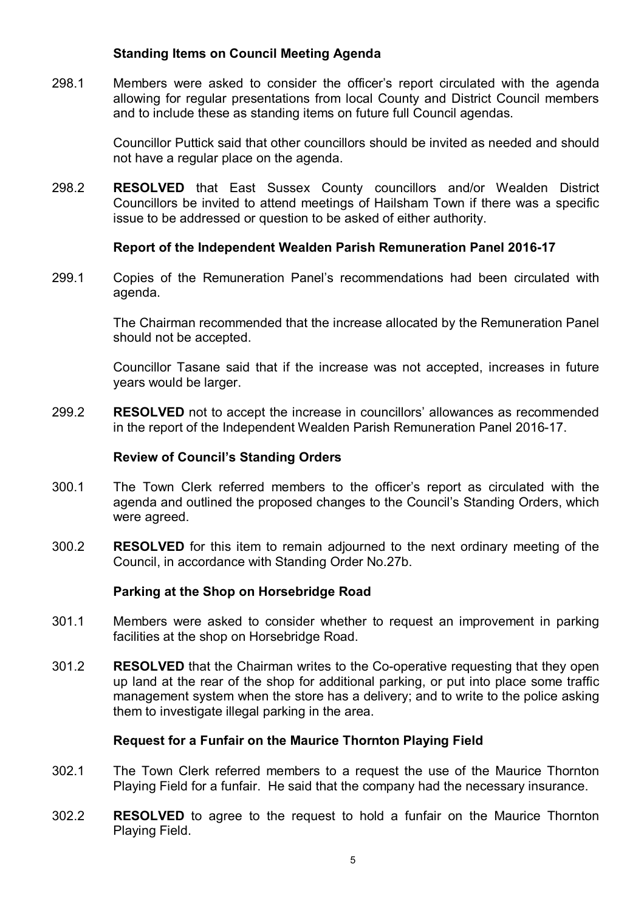# **Standing Items on Council Meeting Agenda**

298.1 Members were asked to consider the officer's report circulated with the agenda allowing for regular presentations from local County and District Council members and to include these as standing items on future full Council agendas.

> Councillor Puttick said that other councillors should be invited as needed and should not have a regular place on the agenda.

298.2 **RESOLVED** that East Sussex County councillors and/or Wealden District Councillors be invited to attend meetings of Hailsham Town if there was a specific issue to be addressed or question to be asked of either authority.

### **Report of the Independent Wealden Parish Remuneration Panel 2016-17**

299.1 Copies of the Remuneration Panel's recommendations had been circulated with agenda.

> The Chairman recommended that the increase allocated by the Remuneration Panel should not be accepted.

> Councillor Tasane said that if the increase was not accepted, increases in future years would be larger.

299.2 **RESOLVED** not to accept the increase in councillors' allowances as recommended in the report of the Independent Wealden Parish Remuneration Panel 2016-17.

### **Review of Council's Standing Orders**

- 300.1 The Town Clerk referred members to the officer's report as circulated with the agenda and outlined the proposed changes to the Council's Standing Orders, which were agreed.
- 300.2 **RESOLVED** for this item to remain adjourned to the next ordinary meeting of the Council, in accordance with Standing Order No.27b.

### **Parking at the Shop on Horsebridge Road**

- 301.1 Members were asked to consider whether to request an improvement in parking facilities at the shop on Horsebridge Road.
- 301.2 **RESOLVED** that the Chairman writes to the Co-operative requesting that they open up land at the rear of the shop for additional parking, or put into place some traffic management system when the store has a delivery; and to write to the police asking them to investigate illegal parking in the area.

### **Request for a Funfair on the Maurice Thornton Playing Field**

- 302.1 The Town Clerk referred members to a request the use of the Maurice Thornton Playing Field for a funfair. He said that the company had the necessary insurance.
- 302.2 **RESOLVED** to agree to the request to hold a funfair on the Maurice Thornton Playing Field.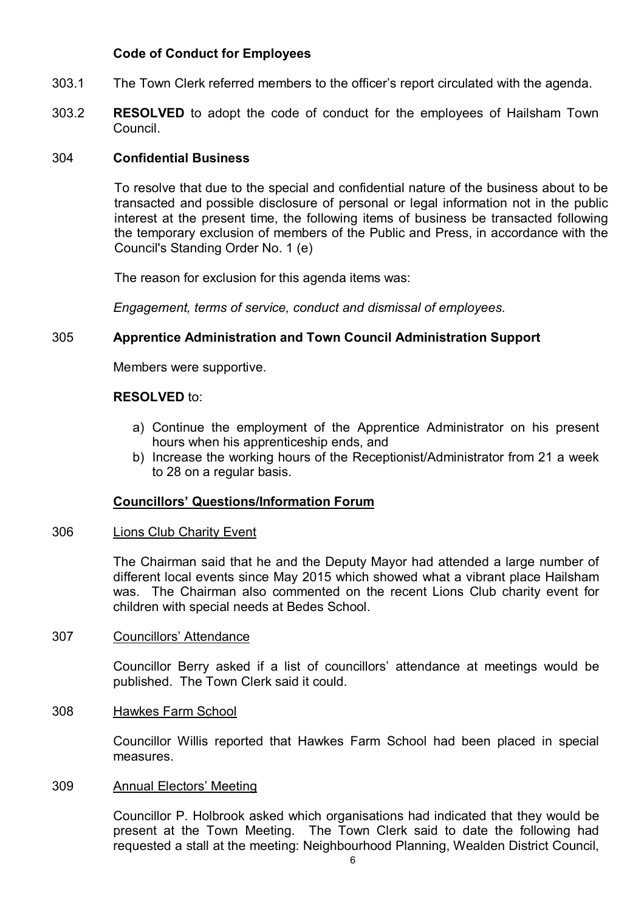# **Code of Conduct for Employees**

- 303.1 The Town Clerk referred members to the officer's report circulated with the agenda.
- 303.2 **RESOLVED** to adopt the code of conduct for the employees of Hailsham Town Council.

#### 304 **Confidential Business**

To resolve that due to the special and confidential nature of the business about to be transacted and possible disclosure of personal or legal information not in the public interest at the present time, the following items of business be transacted following the temporary exclusion of members of the Public and Press, in accordance with the Council's Standing Order No. 1 (e)

The reason for exclusion for this agenda items was:

*Engagement, terms of service, conduct and dismissal of employees.*

### 305 **Apprentice Administration and Town Council Administration Support**

Members were supportive.

### **RESOLVED** to:

- a) Continue the employment of the Apprentice Administrator on his present hours when his apprenticeship ends, and
- b) Increase the working hours of the Receptionist/Administrator from 21 a week to 28 on a regular basis.

### **Councillors' Questions/Information Forum**

#### 306 Lions Club Charity Event

The Chairman said that he and the Deputy Mayor had attended a large number of different local events since May 2015 which showed what a vibrant place Hailsham was. The Chairman also commented on the recent Lions Club charity event for children with special needs at Bedes School.

#### 307 Councillors' Attendance

Councillor Berry asked if a list of councillors' attendance at meetings would be published. The Town Clerk said it could.

#### 308 Hawkes Farm School

Councillor Willis reported that Hawkes Farm School had been placed in special measures.

#### 309 Annual Electors' Meeting

Councillor P. Holbrook asked which organisations had indicated that they would be present at the Town Meeting. The Town Clerk said to date the following had requested a stall at the meeting: Neighbourhood Planning, Wealden District Council,